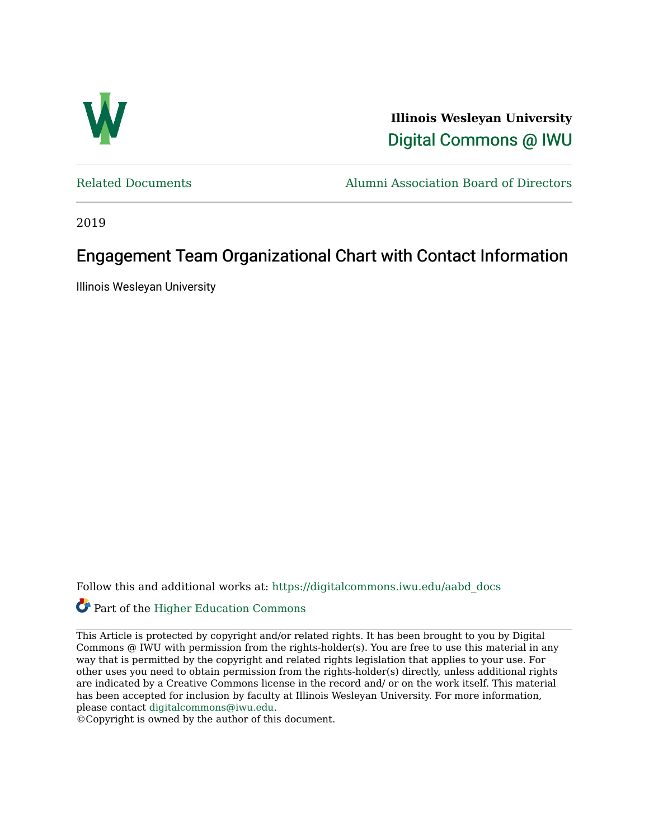

**Illinois Wesleyan University**  [Digital Commons @ IWU](https://digitalcommons.iwu.edu/) 

[Related Documents](https://digitalcommons.iwu.edu/aabd_docs) [Alumni Association Board of Directors](https://digitalcommons.iwu.edu/alumni_aabd) 

2019

## Engagement Team Organizational Chart with Contact Information

Illinois Wesleyan University

Follow this and additional works at: [https://digitalcommons.iwu.edu/aabd\\_docs](https://digitalcommons.iwu.edu/aabd_docs?utm_source=digitalcommons.iwu.edu%2Faabd_docs%2F19&utm_medium=PDF&utm_campaign=PDFCoverPages) 

## Part of the [Higher Education Commons](https://network.bepress.com/hgg/discipline/1245?utm_source=digitalcommons.iwu.edu%2Faabd_docs%2F19&utm_medium=PDF&utm_campaign=PDFCoverPages)

This Article is protected by copyright and/or related rights. It has been brought to you by Digital Commons @ IWU with permission from the rights-holder(s). You are free to use this material in any way that is permitted by the copyright and related rights legislation that applies to your use. For other uses you need to obtain permission from the rights-holder(s) directly, unless additional rights are indicated by a Creative Commons license in the record and/ or on the work itself. This material has been accepted for inclusion by faculty at Illinois Wesleyan University. For more information, please contact [digitalcommons@iwu.edu.](mailto:digitalcommons@iwu.edu)

©Copyright is owned by the author of this document.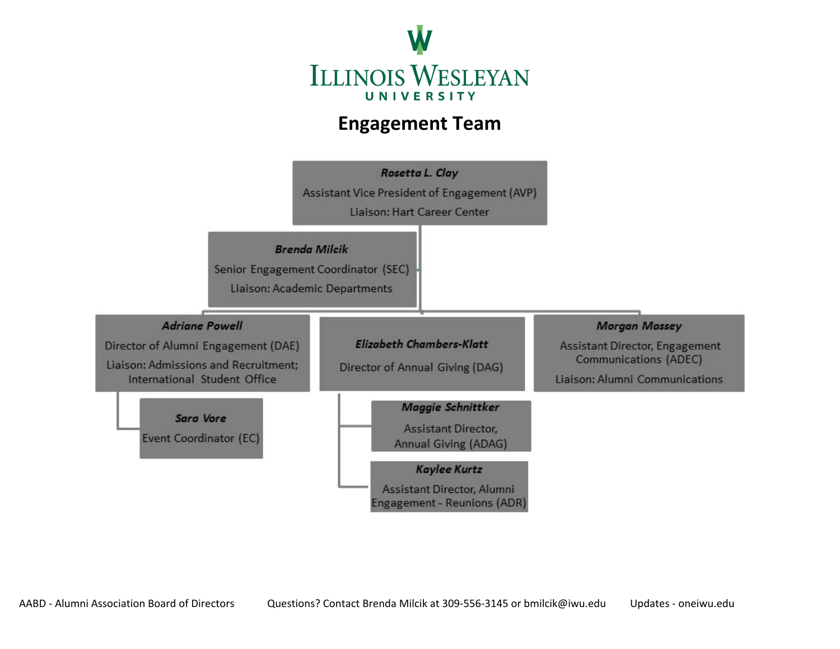

## **Engagement Team**